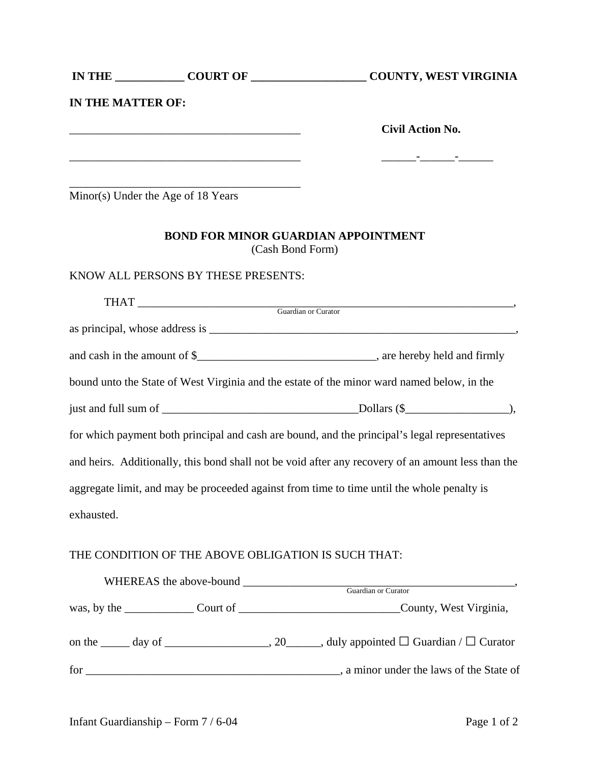|                   |                                                                                                                     | IN THE COURT OF COURT OF COUNTY, WEST VIRGINIA                                             |
|-------------------|---------------------------------------------------------------------------------------------------------------------|--------------------------------------------------------------------------------------------|
| IN THE MATTER OF: |                                                                                                                     |                                                                                            |
|                   | <u> 1989 - Johann Barbara, martxa alemaniar argumento este alemaniar alemaniar alemaniar alemaniar alemaniar al</u> | <b>Civil Action No.</b>                                                                    |
|                   |                                                                                                                     |                                                                                            |
|                   | Minor(s) Under the Age of 18 Years                                                                                  |                                                                                            |
|                   | <b>BOND FOR MINOR GUARDIAN APPOINTMENT</b><br>(Cash Bond Form)                                                      |                                                                                            |
|                   | KNOW ALL PERSONS BY THESE PRESENTS:                                                                                 |                                                                                            |
|                   |                                                                                                                     |                                                                                            |
|                   |                                                                                                                     |                                                                                            |
|                   |                                                                                                                     |                                                                                            |
|                   |                                                                                                                     | bound unto the State of West Virginia and the estate of the minor ward named below, in the |
|                   |                                                                                                                     | just and full sum of $\_\_\_\_\_\_\_\_\_\_\_$ .                                            |
|                   |                                                                                                                     |                                                                                            |

for which payment both principal and cash are bound, and the principal's legal representatives and heirs. Additionally, this bond shall not be void after any recovery of an amount less than the aggregate limit, and may be proceeded against from time to time until the whole penalty is exhausted.

## THE CONDITION OF THE ABOVE OBLIGATION IS SUCH THAT:

| WHEREAS the above-bound                              | <b>Guardian or Curator</b>               |
|------------------------------------------------------|------------------------------------------|
| was, by the $\_\_\_\_\_$ Court of $\_\_\_\_\_\_\_\_$ | County, West Virginia,                   |
|                                                      |                                          |
| for                                                  | , a minor under the laws of the State of |